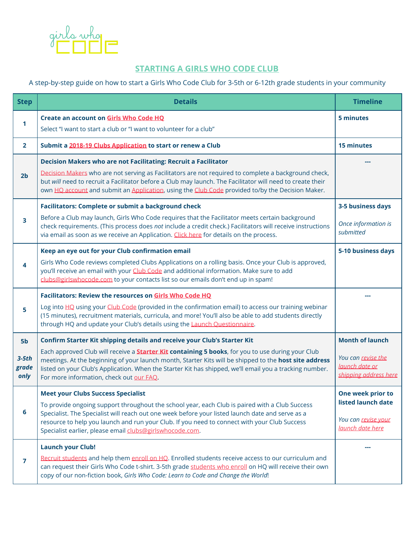

# **STARTING A GIRLS WHO CODE CLUB**

## A step-by-step guide on how to start a Girls Who Code Club for 3-5th or 6-12th grade students in your community

| <b>Step</b>                                | <b>Details</b>                                                                                                                                                                                                                                                                                                                                                                                                                                         | <b>Timeline</b>                                                                         |
|--------------------------------------------|--------------------------------------------------------------------------------------------------------------------------------------------------------------------------------------------------------------------------------------------------------------------------------------------------------------------------------------------------------------------------------------------------------------------------------------------------------|-----------------------------------------------------------------------------------------|
| 1                                          | Create an account on Girls Who Code HQ<br>Select "I want to start a club or "I want to volunteer for a club"                                                                                                                                                                                                                                                                                                                                           | 5 minutes                                                                               |
| $\overline{2}$                             | Submit a 2018-19 Clubs Application to start or renew a Club                                                                                                                                                                                                                                                                                                                                                                                            | <b>15 minutes</b>                                                                       |
| 2 <sub>b</sub>                             | Decision Makers who are not Facilitating: Recruit a Facilitator<br>Decision Makers who are not serving as Facilitators are not required to complete a background check,<br>but will need to recruit a Facilitator before a Club may launch. The Facilitator will need to create their<br>own HQ account and submit an Application, using the Club Code provided to/by the Decision Maker.                                                              |                                                                                         |
| 3                                          | <b>Facilitators: Complete or submit a background check</b><br>Before a Club may launch, Girls Who Code requires that the Facilitator meets certain background<br>check requirements. (This process does not include a credit check.) Facilitators will receive instructions<br>via email as soon as we receive an Application. Click here for details on the process.                                                                                  | 3-5 business days<br>Once information is<br>submitted                                   |
| 4                                          | Keep an eye out for your Club confirmation email<br>Girls Who Code reviews completed Clubs Applications on a rolling basis. Once your Club is approved,<br>you'll receive an email with your Club Code and additional information. Make sure to add<br>clubs@girlswhocode.com to your contacts list so our emails don't end up in spam!                                                                                                                | 5-10 business days                                                                      |
| 5                                          | Facilitators: Review the resources on Girls Who Code HQ<br>Log into HQ using your Club Code (provided in the confirmation email) to access our training webinar<br>(15 minutes), recruitment materials, curricula, and more! You'll also be able to add students directly<br>through HQ and update your Club's details using the Launch Questionnaire.                                                                                                 |                                                                                         |
| 5 <sub>b</sub><br>$3-5th$<br>grade<br>only | Confirm Starter Kit shipping details and receive your Club's Starter Kit<br>Each approved Club will receive a <b>Starter Kit containing 5 books</b> , for you to use during your Club<br>meetings. At the beginning of your launch month, Starter Kits will be shipped to the host site address<br>listed on your Club's Application. When the Starter Kit has shipped, we'll email you a tracking number.<br>For more information, check out our FAQ. | <b>Month of launch</b><br>You can revise the<br>launch date or<br>shipping address here |
| 6                                          | <b>Meet your Clubs Success Specialist</b><br>To provide ongoing support throughout the school year, each Club is paired with a Club Success<br>Specialist. The Specialist will reach out one week before your listed launch date and serve as a<br>resource to help you launch and run your Club. If you need to connect with your Club Success<br>Specialist earlier, please email clubs@girlswhocode.com.                                            | One week prior to<br>listed launch date<br>You can revise your<br>launch date here      |
| $\overline{7}$                             | <b>Launch your Club!</b><br>Recruit students and help them enroll on HQ. Enrolled students receive access to our curriculum and<br>can request their Girls Who Code t-shirt. 3-5th grade students who enroll on HQ will receive their own<br>copy of our non-fiction book, Girls Who Code: Learn to Code and Change the World!                                                                                                                         |                                                                                         |